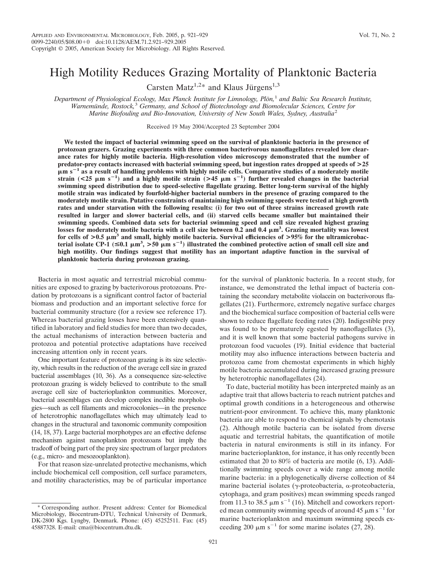# High Motility Reduces Grazing Mortality of Planktonic Bacteria

Carsten Matz<sup>1,2\*</sup> and Klaus Jürgens<sup>1,3</sup>

*Department of Physiological Ecology, Max Planck Institute for Limnology, Plön*,<sup>1</sup> and Baltic Sea Research Institute, *Warnemu¨nde, Rostock,*<sup>3</sup> *Germany, and School of Biotechnology and Biomolecular Sciences, Centre for Marine Biofouling and Bio-Innovation, University of New South Wales, Sydney, Australia*<sup>2</sup>

Received 19 May 2004/Accepted 23 September 2004

**We tested the impact of bacterial swimming speed on the survival of planktonic bacteria in the presence of protozoan grazers. Grazing experiments with three common bacterivorous nanoflagellates revealed low clearance rates for highly motile bacteria. High-resolution video microscopy demonstrated that the number of predator-prey contacts increased with bacterial swimming speed, but ingestion rates dropped at speeds of >25 m s**-**<sup>1</sup> as a result of handling problems with highly motile cells. Comparative studies of a moderately motile** strain (<25  $\mu$ m s<sup>-1</sup>) and a highly motile strain (>45  $\mu$ m s<sup>-1</sup>) further revealed changes in the bacterial **swimming speed distribution due to speed-selective flagellate grazing. Better long-term survival of the highly motile strain was indicated by fourfold-higher bacterial numbers in the presence of grazing compared to the moderately motile strain. Putative constraints of maintaining high swimming speeds were tested at high growth rates and under starvation with the following results: (i) for two out of three strains increased growth rate resulted in larger and slower bacterial cells, and (ii) starved cells became smaller but maintained their swimming speeds. Combined data sets for bacterial swimming speed and cell size revealed highest grazing** losses for moderately motile bacteria with a cell size between 0.2 and 0.4  $\mu$ m<sup>3</sup>. Grazing mortality was lowest for cells of  $>0.5 \mu m^3$  and small, highly motile bacteria. Survival efficiencies of  $>95\%$  for the ultramicrobac**terial isolate CP-1** ( $\leq 0.1 \mu m^3$ ,  $> 50 \mu m s^{-1}$ ) illustrated the combined protective action of small cell size and **high motility. Our findings suggest that motility has an important adaptive function in the survival of planktonic bacteria during protozoan grazing.**

Bacteria in most aquatic and terrestrial microbial communities are exposed to grazing by bacterivorous protozoans. Predation by protozoans is a significant control factor of bacterial biomass and production and an important selective force for bacterial community structure (for a review see reference 17). Whereas bacterial grazing losses have been extensively quantified in laboratory and field studies for more than two decades, the actual mechanisms of interaction between bacteria and protozoa and potential protective adaptations have received increasing attention only in recent years.

One important feature of protozoan grazing is its size selectivity, which results in the reduction of the average cell size in grazed bacterial assemblages (10, 36). As a consequence size-selective protozoan grazing is widely believed to contribute to the small average cell size of bacterioplankton communities. Moreover, bacterial assemblages can develop complex inedible morphologies—such as cell filaments and microcolonies—in the presence of heterotrophic nanoflagellates which may ultimately lead to changes in the structural and taxonomic community composition (14, 18, 37). Large bacterial morphotypes are an effective defense mechanism against nanoplankton protozoans but imply the tradeoff of being part of the prey size spectrum of larger predators (e.g., micro- and mesozooplankton).

For that reason size-unrelated protective mechanisms, which include biochemical cell composition, cell surface parameters, and motility characteristics, may be of particular importance

for the survival of planktonic bacteria. In a recent study, for instance, we demonstrated the lethal impact of bacteria containing the secondary metabolite violacein on bacterivorous flagellates (21). Furthermore, extremely negative surface charges and the biochemical surface composition of bacterial cells were shown to reduce flagellate feeding rates (20). Indigestible prey was found to be prematurely egested by nanoflagellates  $(3)$ , and it is well known that some bacterial pathogens survive in protozoan food vacuoles (19). Initial evidence that bacterial motility may also influence interactions between bacteria and protozoa came from chemostat experiments in which highly motile bacteria accumulated during increased grazing pressure by heterotrophic nanoflagellates (24).

To date, bacterial motility has been interpreted mainly as an adaptive trait that allows bacteria to reach nutrient patches and optimal growth conditions in a heterogeneous and otherwise nutrient-poor environment. To achieve this, many planktonic bacteria are able to respond to chemical signals by chemotaxis (2). Although motile bacteria can be isolated from diverse aquatic and terrestrial habitats, the quantification of motile bacteria in natural environments is still in its infancy. For marine bacterioplankton, for instance, it has only recently been estimated that 20 to 80% of bacteria are motile (6, 13). Additionally swimming speeds cover a wide range among motile marine bacteria: in a phylogenetically diverse collection of 84 marine bacterial isolates (y-proteobacteria,  $\alpha$ -proteobacteria, cytophaga, and gram positives) mean swimming speeds ranged from 11.3 to 38.5  $\mu$ m s<sup>-1</sup> (16). Mitchell and coworkers reported mean community swimming speeds of around 45  $\mu$ m s<sup>-1</sup> for marine bacterioplankton and maximum swimming speeds exceeding 200  $\mu$ m s<sup>-1</sup> for some marine isolates (27, 28).

Corresponding author. Present address: Center for Biomedical Microbiology, Biocentrum-DTU, Technical University of Denmark, DK-2800 Kgs. Lyngby, Denmark. Phone: (45) 45252511. Fax: (45) 45887328. E-mail: cma@biocentrum.dtu.dk.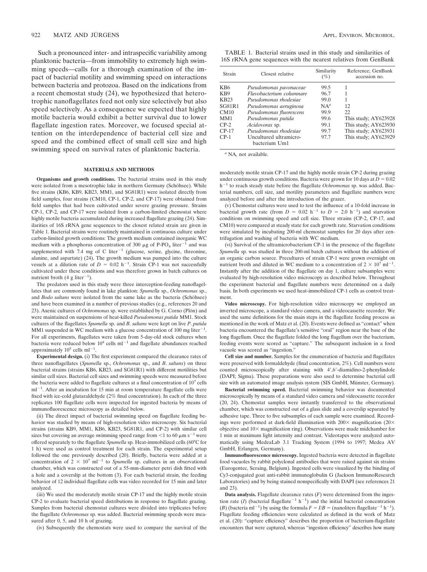Such a pronounced inter- and intraspecific variability among planktonic bacteria—from immobility to extremely high swimming speeds—calls for a thorough examination of the impact of bacterial motility and swimming speed on interactions between bacteria and protozoa. Based on the indications from a recent chemostat study (24), we hypothesized that heterotrophic nanoflagellates feed not only size selectively but also speed selectively. As a consequence we expected that highly motile bacteria would exhibit a better survival due to lower flagellate ingestion rates. Moreover, we focused special attention on the interdependence of bacterial cell size and speed and the combined effect of small cell size and high swimming speed on survival rates of planktonic bacteria.

#### **MATERIALS AND METHODS**

**Organisms and growth conditions.** The bacterial strains used in this study were isolated from a mesotrophic lake in northern Germany (Schöhsee). While five strains (KB6, KB9, KB23, MM1, and SG81R1) were isolated directly from field samples, four strains (CM10, CP-1, CP-2, and CP-17) were obtained from field samples that had been cultivated under severe grazing pressure. Strains CP-1, CP-2, and CP-17 were isolated from a carbon-limited chemostat where highly motile bacteria accumulated during increased flagellate grazing (24). Similarities of 16S rRNA gene sequences to the closest related strain are given in Table 1. Bacterial strains were routinely maintained in continuous culture under carbon-limited growth conditions: The growth medium contained inorganic WC medium with a phosphorus concentration of 300  $\mu$ g of P-PO<sub>4</sub> liter<sup>-1</sup> and was supplemented with 7.4 mg of C liter<sup>-1</sup> (glucose, serine, glycine, threonine, alanine, and aspartate)  $(24)$ . The growth medium was pumped into the culture vessels at a dilution rate of  $D = 0.02$  h<sup>-1</sup>. Strain CP-1 was not successfully cultivated under these conditions and was therefore grown in batch cultures on nutrient broth (4 g liter<sup>-1</sup>).

The predators used in this study were three interception-feeding nanoflagellates that are commonly found in lake plankton: *Spumella* sp., *Ochromonas* sp., and *Bodo saltans* were isolated from the same lake as the bacteria (Schöhsee) and have been examined in a number of previous studies (e.g., references 20 and 23). Axenic cultures of *Ochromonas* sp. were established by G. Corno (Plön) and were maintained on suspensions of heat-killed *Pseudomonas putida* MM1. Stock cultures of the flagellates *Spumella* sp. and *B*. *saltans* were kept on live *P*. *putida* MM1 suspended in WC medium with a glucose concentration of 100 mg liter $^{-1}$ . For all experiments, flagellates were taken from 5-day-old stock cultures when bacteria were reduced below  $10^4$  cells ml<sup>-1</sup> and flagellate abundances reached approximately  $10^5$  cells ml<sup>-1</sup>.

**Experimental design.** (i) The first experiment compared the clearance rates of three nanoflagellates (*Spumella* sp., *Ochromonas* sp., and *B*. *saltans*) on three bacterial strains (strains KB6, KB23, and SG81R1) with different motilities but similar cell sizes. Bacterial cell sizes and swimming speeds were measured before the bacteria were added to flagellate cultures at a final concentration of 10<sup>7</sup> cells  $ml^{-1}$ . After an incubation for 15 min at room temperature flagellate cells were fixed with ice-cold glutaraldehyde (2% final concentration). In each of the three replicates 100 flagellate cells were inspected for ingested bacteria by means of immunofluorescence microscopy as detailed below.

(ii) The direct impact of bacterial swimming speed on flagellate feeding behavior was studied by means of high-resolution video microscopy. Six bacterial strains (strains KB9, MM1, KB6, KB23, SG81R1, and CP-2) with similar cell sizes but covering an average swimming speed range from  $\leq$ 1 to 60  $\mu$ m s<sup>-1</sup> were offered separately to the flagellate *Spumella* sp. Heat-immobilized cells (60°C for 1 h) were used as control treatment for each strain. The experimental setup followed the one previously described (20). Briefly, bacteria were added at a concentration of  $2 \times 10^7$  ml<sup>-1</sup> to *Spumella* sp. cultures in an observational chamber, which was constructed out of a 55-mm-diameter petri dish fitted with a hole and a coverslip at the bottom (3). For each bacterial strain, the feeding behavior of 12 individual flagellate cells was video recorded for 15 min and later analyzed.

(iii) We used the moderately motile strain CP-17 and the highly motile strain CP-2 to evaluate bacterial speed distributions in response to flagellate grazing. Samples from bacterial chemostat cultures were divided into triplicates before the flagellate *Ochromonas* sp. was added. Bacterial swimming speeds were measured after 0, 5, and 10 h of grazing.

(iv) Subsequently the chemostats were used to compare the survival of the

TABLE 1. Bacterial strains used in this study and similarities of 16S rRNA gene sequences with the nearest relatives from GenBank

| Strain           | Closest relative                        | Similarity<br>(%) | Reference; GenBank<br>accession no. |  |
|------------------|-----------------------------------------|-------------------|-------------------------------------|--|
| KB <sub>6</sub>  | Pseudomonas pavonaceae                  | 99.5              |                                     |  |
| K <sub>B</sub> 9 | Flavobacterium columnare                | 96.7              |                                     |  |
| <b>KB23</b>      | Pseudomonas rhodesiae                   | 99.0              |                                     |  |
| SG81R1           | Pseudomonas aeruginosa                  | $NA^a$            | 12                                  |  |
| CM10             | Pseudomonas fluorescens                 | 99.9              | 22.                                 |  |
| MM1              | Pseudomonas putida                      | 99.6              | This study; AY623928                |  |
| $CP-2$           | Acidovorax sp.                          | 99.1              | This study; AY623930                |  |
| $CP-17$          | Pseudomonas rhodesiae                   | 99.7              | This study; AY623931                |  |
| $CP-1$           | Uncultured ultramicro-<br>bacterium Um1 | 97.7              | This study; AY623929                |  |

*<sup>a</sup>* NA, not available.

moderately motile strain CP-17 and the highly motile strain CP-2 during grazing under continuous growth conditions. Bacteria were grown for 10 days at  $D = 0.02$  $h^{-1}$  to reach steady state before the flagellate Ochromonas sp. was added. Bacterial numbers, cell size, and motility parameters and flagellate numbers were analyzed before and after the introduction of the grazer.

(v) Chemostat cultures were used to test the influence of a 10-fold increase in bacterial growth rate (from  $D = 0.02$  h<sup>-1</sup> to  $D = 2.0$  h<sup>-1</sup>) and starvation conditions on swimming speed and cell size. Three strains (CP-2, CP-17, and CM10) were compared at steady state for each growth rate. Starvation conditions were simulated by incubating 200-ml chemostat samples for 20 days after centrifugation and washing of bacteria with WC medium.

(vi) Survival of the ultramicrobacterium CP-1 in the presence of the flagellate *Spumella* sp. was studied in three 200-ml batch cultures without the addition of an organic carbon source. Precultures of strain CP-1 were grown overnight on nutrient broth and diluted in WC medium to a concentration of  $2 \times 10^7$  ml<sup>-1</sup>. Instantly after the addition of the flagellate on day 1, culture subsamples were evaluated by high-resolution video microscopy as described below. Throughout the experiment bacterial and flagellate numbers were determined on a daily basis. In both experiments we used heat-immobilized CP-1 cells as control treatment.

**Video microscopy.** For high-resolution video microscopy we employed an inverted microscope, a standard video camera, and a videocassette recorder. We used the same definitions for the main steps in the flagellate feeding process as mentioned in the work of Matz et al. (20). Events were defined as "contact" when bacteria encountered the flagellate's sensitive "oral" region near the base of the long flagellum. Once the flagellate folded the long flagellum over the bacterium, feeding events were scored as "capture." The subsequent inclusion in a food vacuole was scored as "ingestion."

**Cell size and number.** Samples for the enumeration of bacteria and flagellates were preserved with formaldehyde (final concentration, 2%). Cell numbers were counted microscopically after staining with 4',6'-diamidino-2-phenylindole (DAPI; Sigma). These preparations were also used to determine bacterial cell size with an automated image analysis system (SIS GmbH, Münster, Germany).

**Bacterial swimming speed.** Bacterial swimming behavior was documented microscopically by means of a standard video camera and videocassette recorder (20, 24). Chemostat samples were instantly transferred to the observational chamber, which was constructed out of a glass slide and a coverslip separated by adhesive tape. Three to five subsamples of each sample were examined. Recordings were performed at dark-field illumination with  $200 \times$  magnification (20 $\times$ objective and  $10\times$  magnification ring). Observations were made midchamber for 1 min at maximum light intensity and contrast. Videotapes were analyzed automatically using MedeaLab 3.1 Tracking System (1994 to 1997; Medea AV GmbH, Erlangen, Germany).

**Immunofluorescence microscopy.** Ingested bacteria were detected in flagellate food vacuoles by rabbit polyclonal antibodies that were raised against six strains (Eurogentec, Seraing, Belgium). Ingested cells were visualized by the binding of Cy3-conjugated goat anti-rabbit immunoglobulin G (Jackson ImmunoResearch Laboratories) and by being stained nonspecifically with DAPI (see references 21 and 23).

**Data analysis.** Flagellate clearance rates (*F*) were determined from the ingestion rate (*I*) (bacterial flagellate<sup> $-1$ </sup> h<sup>-1</sup>) and the initial bacterial concentration (*B*) (bacteria ml<sup>-1</sup>) by using the formula  $F = I/B =$  (nanoliters flagellate<sup>-1</sup> h<sup>-1</sup>). Flagellate feeding efficiencies were calculated as defined in the work of Matz et al. (20): "capture efficiency" describes the proportion of bacterium-flagellate encounters that were captured, whereas "ingestion efficiency" describes how many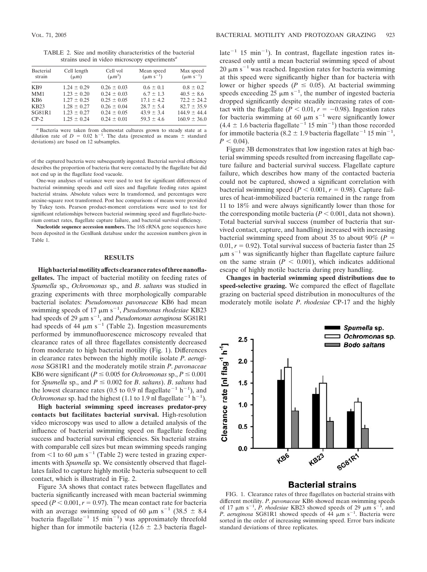TABLE 2. Size and motility characteristics of the bacterial strains used in video microscopy experiments*<sup>a</sup>*

| Bacterial        | Cell length     | Cell vol        | Mean speed       | Max speed        |
|------------------|-----------------|-----------------|------------------|------------------|
| strain           | $(\mu m)$       | $(\mu m^3)$     | $(\mu m s^{-1})$ | $(\mu m s^{-1})$ |
| K <sub>B</sub> 9 | $1.24 \pm 0.29$ | $0.26 \pm 0.03$ | $0.6 \pm 0.1$    | $0.8 \pm 0.2$    |
| MM1              | $1.23 \pm 0.20$ | $0.24 \pm 0.03$ | $6.7 \pm 1.3$    | $40.5 \pm 8.6$   |
| KB <sub>6</sub>  | $1.27 \pm 0.25$ | $0.25 \pm 0.05$ | $17.1 \pm 4.2$   | $72.2 \pm 24.2$  |
| <b>KB23</b>      | $1.28 \pm 0.27$ | $0.26 \pm 0.04$ | $28.7 \pm 5.4$   | $82.7 \pm 35.9$  |
| <b>SG81R1</b>    | $1.23 \pm 0.27$ | $0.24 \pm 0.05$ | $43.9 \pm 3.4$   | $144.9 \pm 44.4$ |
| $CP-2$           | $1.25 \pm 0.24$ | $0.24 \pm 0.01$ | $59.3 \pm 4.6$   | $160.9 \pm 36.0$ |

*<sup>a</sup>* Bacteria were taken from chemostat cultures grown to steady state at a dilution rate of  $D = 0.02$  h<sup>-1</sup>. The data (presented as means  $\pm$  standard deviations) are based on 12 subsamples.

of the captured bacteria were subsequently ingested. Bacterial survival efficiency describes the proportion of bacteria that were contacted by the flagellate but did not end up in the flagellate food vacuole.

One-way analyses of variance were used to test for significant differences of bacterial swimming speeds and cell sizes and flagellate feeding rates against bacterial strains. Absolute values were ln transformed, and percentages were arcsine-square root transformed. Post hoc comparisons of means were provided by Tukey tests. Pearson product-moment correlations were used to test for significant relationships between bacterial swimming speed and flagellate-bacterium contact rates, flagellate capture failure, and bacterial survival efficiency.

**Nucleotide sequence accession numbers.** The 16S rRNA gene sequences have been deposited in the GenBank database under the accession numbers given in Table 1.

### **RESULTS**

**Highbacterialmotilityaffectsclearancerates of threenanoflagellates.** The impact of bacterial motility on feeding rates of *Spumella* sp., *Ochromonas* sp., and *B*. *saltans* was studied in grazing experiments with three morphologically comparable bacterial isolates: *Pseudomonas pavonaceae* KB6 had mean swimming speeds of 17  $\mu$ m s<sup>-1</sup>, *Pseudomonas rhodesiae* KB23 had speeds of 29  $\mu$ m s<sup>-1</sup>, and *Pseudomonas aeruginosa* SG81R1 had speeds of 44  $\mu$ m s<sup>-1</sup> (Table 2). Ingestion measurements performed by immunofluorescence microscopy revealed that clearance rates of all three flagellates consistently decreased from moderate to high bacterial motility (Fig. 1). Differences in clearance rates between the highly motile isolate *P*. *aeruginosa* SG81R1 and the moderately motile strain *P*. *pavonaceae* KB6 were significant ( $P \le 0.005$  for *Ochromonas* sp.,  $P \le 0.001$ for *Spumella* sp., and  $P \leq 0.002$  for *B*. *saltans*). *B*. *saltans* had the lowest clearance rates (0.5 to 0.9 nl flagellate<sup>-1</sup> h<sup>-1</sup>), and *Ochromonas* sp. had the highest (1.1 to 1.9 nl flagellate<sup> $-1$ </sup> h<sup>-1</sup>).

**High bacterial swimming speed increases predator-prey contacts but facilitates bacterial survival.** High-resolution video microscopy was used to allow a detailed analysis of the influence of bacterial swimming speed on flagellate feeding success and bacterial survival efficiencies. Six bacterial strains with comparable cell sizes but mean swimming speeds ranging from  $\leq 1$  to 60  $\mu$ m s<sup>-1</sup> (Table 2) were tested in grazing experiments with *Spumella* sp. We consistently observed that flagellates failed to capture highly motile bacteria subsequent to cell contact, which is illustrated in Fig. 2.

Figure 3A shows that contact rates between flagellates and bacteria significantly increased with mean bacterial swimming speed  $(P < 0.001, r = 0.97)$ . The mean contact rate for bacteria with an average swimming speed of 60  $\mu$ m s<sup>-1</sup> (38.5  $\pm$  8.4 bacteria flagellate<sup>-1</sup> 15 min<sup>-1</sup>) was approximately threefold higher than for immotile bacteria ( $12.6 \pm 2.3$  bacteria flagel-

late<sup> $-1$ </sup> 15 min<sup> $-1$ </sup>). In contrast, flagellate ingestion rates increased only until a mean bacterial swimming speed of about 20  $\mu$ m s<sup>-1</sup> was reached. Ingestion rates for bacteria swimming at this speed were significantly higher than for bacteria with lower or higher speeds ( $P \leq 0.05$ ). At bacterial swimming speeds exceeding  $25 \mu m s^{-1}$ , the number of ingested bacteria dropped significantly despite steadily increasing rates of contact with the flagellate ( $P < 0.01$ ,  $r = -0.98$ ). Ingestion rates for bacteria swimming at 60  $\mu$ m s<sup>-1</sup> were significantly lower  $(4.4 \pm 1.6$  bacteria flagellate<sup>-1</sup> 15 min<sup>-1</sup>) than those recorded for immotile bacteria (8.2  $\pm$  1.9 bacteria flagellate<sup>-1</sup> 15 min<sup>-1</sup>,  $P < 0.04$ ).

Figure 3B demonstrates that low ingestion rates at high bacterial swimming speeds resulted from increasing flagellate capture failure and bacterial survival success. Flagellate capture failure, which describes how many of the contacted bacteria could not be captured, showed a significant correlation with bacterial swimming speed ( $P < 0.001$ ,  $r = 0.98$ ). Capture failures of heat-immobilized bacteria remained in the range from 11 to 18% and were always significantly lower than those for the corresponding motile bacteria  $(P < 0.001$ , data not shown). Total bacterial survival success (number of bacteria that survived contact, capture, and handling) increased with increasing bacterial swimming speed from about 35 to about 90% ( $P =$  $0.01, r = 0.92$ ). Total survival success of bacteria faster than 25  $\mu$ m s<sup>-1</sup> was significantly higher than flagellate capture failure on the same strain  $(P < 0.001)$ , which indicates additional escape of highly motile bacteria during prey handling.

**Changes in bacterial swimming speed distributions due to speed-selective grazing.** We compared the effect of flagellate grazing on bacterial speed distribution in monocultures of the moderately motile isolate *P*. *rhodesiae* CP-17 and the highly



# **Bacterial strains**

FIG. 1. Clearance rates of three flagellates on bacterial strains with different motility. *P*. *pavonaceae* KB6 showed mean swimming speeds of 17  $\mu$ m s<sup>-1</sup>, *P. rhodesiae* KB23 showed speeds of 29  $\mu$ m s<sup>-1</sup> , and *P. aeruginosa* SG81R1 showed speeds of  $44 \mu m s^{-1}$ . Bacteria were sorted in the order of increasing swimming speed. Error bars indicate standard deviations of three replicates.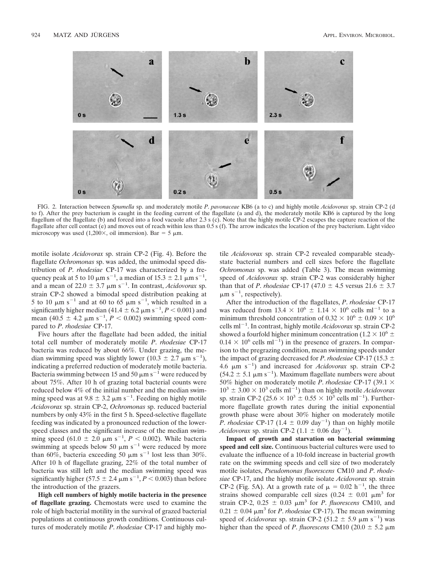

FIG. 2. Interaction between *Spumella* sp. and moderately motile *P*. *pavonaceae* KB6 (a to c) and highly motile *Acidovorax* sp. strain CP-2 (d to f). After the prey bacterium is caught in the feeding current of the flagellate (a and d), the moderately motile KB6 is captured by the long flagellum of the flagellate (b) and forced into a food vacuole after 2.3 s (c). Note that the highly motile CP-2 escapes the capture reaction of the flagellate after cell contact (e) and moves out of reach within less than 0.5 s (f). The arrow indicates the location of the prey bacterium. Light video microscopy was used (1,200 $\times$ , oil immersion). Bar = 5  $\mu$ m.

motile isolate *Acidovorax* sp. strain CP-2 (Fig. 4). Before the flagellate *Ochromonas* sp. was added, the unimodal speed distribution of *P*. *rhodesiae* CP-17 was characterized by a frequency peak at 5 to 10  $\mu$ m s<sup>-1</sup>, a median of 15.3  $\pm$  2.1  $\mu$ m s<sup>-1</sup>, and a mean of  $22.0 \pm 3.7 \mu m s^{-1}$ . In contrast, *Acidovorax* sp. strain CP-2 showed a bimodal speed distribution peaking at 5 to 10  $\mu$ m s<sup>-1</sup> and at 60 to 65  $\mu$ m s<sup>-1</sup>, which resulted in a significantly higher median  $(41.4 \pm 6.2 \,\mathrm{\mu m \, s}^{-1}, P < 0.001)$  and mean  $(40.5 \pm 4.2 \mu m s^{-1}, P < 0.002)$  swimming speed compared to *P*. *rhodesiae* CP-17.

Five hours after the flagellate had been added, the initial total cell number of moderately motile *P*. *rhodesiae* CP-17 bacteria was reduced by about 66%. Under grazing, the median swimming speed was slightly lower (10.3  $\pm$  2.7  $\mu$ m s<sup>-1</sup>), indicating a preferred reduction of moderately motile bacteria. Bacteria swimming between 15 and 50  $\mu$ m s<sup>-1</sup> were reduced by about 75%. After 10 h of grazing total bacterial counts were reduced below 4% of the initial number and the median swimming speed was at  $9.8 \pm 3.2 \mu m s^{-1}$ . Feeding on highly motile *Acidovorax* sp. strain CP-2, *Ochromonas* sp. reduced bacterial numbers by only 43% in the first 5 h. Speed-selective flagellate feeding was indicated by a pronounced reduction of the lowerspeed classes and the significant increase of the median swimming speed  $(61.0 \pm 2.0 \mu m s^{-1}, P < 0.002)$ . While bacteria swimming at speeds below 50  $\mu$ m s<sup>-1</sup> were reduced by more than 60%, bacteria exceeding 50  $\mu$ m s<sup>-1</sup> lost less than 30%. After 10 h of flagellate grazing, 22% of the total number of bacteria was still left and the median swimming speed was significantly higher (57.5  $\pm$  2.4  $\mu$ m s<sup>-1</sup>, *P* < 0.003) than before the introduction of the grazers.

**High cell numbers of highly motile bacteria in the presence of flagellate grazing.** Chemostats were used to examine the role of high bacterial motility in the survival of grazed bacterial populations at continuous growth conditions. Continuous cultures of moderately motile *P*. *rhodesiae* CP-17 and highly motile *Acidovorax* sp. strain CP-2 revealed comparable steadystate bacterial numbers and cell sizes before the flagellate *Ochromonas* sp. was added (Table 3). The mean swimming speed of *Acidovorax* sp. strain CP-2 was considerably higher than that of *P. rhodesiae* CP-17  $(47.0 \pm 4.5 \text{ versus } 21.6 \pm 3.7)$  $\mu$ m s<sup>-1</sup>, respectively).

After the introduction of the flagellates, *P*. *rhodesiae* CP-17 was reduced from 13.4  $\times$  10<sup>6</sup>  $\pm$  1.14  $\times$  10<sup>6</sup> cells ml<sup>-1</sup> to a minimum threshold concentration of  $0.32 \times 10^6 \pm 0.09 \times 10^6$ cells ml<sup>-1</sup>. In contrast, highly motile *Acidovorax* sp. strain CP-2 showed a fourfold higher minimum concentration (1.2  $\times$  10<sup>6</sup>  $\pm$  $0.14 \times 10^6$  cells ml<sup>-1</sup>) in the presence of grazers. In comparison to the pregrazing condition, mean swimming speeds under the impact of grazing decreased for *P*. *rhodesiae* CP-17 (15.3 4.6  $\mu$ m s<sup>-1</sup>) and increased for *Acidovorax* sp. strain CP-2  $(54.2 \pm 5.1 \mu m s^{-1})$ . Maximum flagellate numbers were about 50% higher on moderately motile *P*. *rhodesiae* CP-17 (39.1  $10^3 \pm 3.00 \times 10^3$  cells ml<sup>-1</sup>) than on highly motile *Acidovorax* sp. strain CP-2 (25.6  $\times$  10<sup>3</sup>  $\pm$  0.55  $\times$  10<sup>3</sup> cells ml<sup>-1</sup>). Furthermore flagellate growth rates during the initial exponential growth phase were about 30% higher on moderately motile *P. rhodesiae* CP-17 (1.4  $\pm$  0.09 day<sup>-1</sup>) than on highly motile *Acidovorax* sp. strain CP-2  $(1.1 \pm 0.06 \text{ day}^{-1})$ .

**Impact of growth and starvation on bacterial swimming speed and cell size.** Continuous bacterial cultures were used to evaluate the influence of a 10-fold increase in bacterial growth rate on the swimming speeds and cell size of two moderately motile isolates, *Pseudomonas fluorescens* CM10 and *P*. *rhodesiae* CP-17, and the highly motile isolate *Acidovorax* sp. strain CP-2 (Fig. 5A). At a growth rate of  $\mu = 0.02$  h<sup>-1</sup>, the three strains showed comparable cell sizes (0.24  $\pm$  0.01  $\mu$ m<sup>3</sup> for strain CP-2,  $0.25 \pm 0.03 \mu m^3$  for *P. fluorescens* CM10, and  $0.21 \pm 0.04 \mu m^3$  for *P. rhodesiae* CP-17). The mean swimming speed of *Acidovorax* sp. strain CP-2 (51.2  $\pm$  5.9  $\mu$ m s<sup>-1</sup>) was higher than the speed of *P*. *fluorescens* CM10 (20.0  $\pm$  5.2  $\mu$ m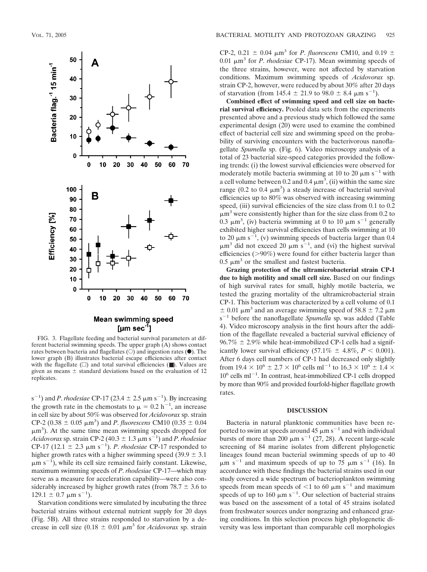

FIG. 3. Flagellate feeding and bacterial survival parameters at different bacterial swimming speeds. The upper graph (A) shows contact rates between bacteria and flagellates  $(\bigcirc)$  and ingestion rates  $(\bullet)$ . The lower graph (B) illustrates bacterial escape efficiencies after contact with the flagellate  $(\Box)$  and total survival efficiencies ( $\Box$ ). Values are given as means  $\pm$  standard deviations based on the evaluation of 12 replicates.

s<sup>-1</sup>) and *P. rhodesiae* CP-17 (23.4  $\pm$  2.5  $\mu$ m s<sup>-1</sup>). By increasing the growth rate in the chemostats to  $\mu = 0.2$  h<sup>-1</sup>, an increase in cell size by about 50% was observed for *Acidovorax* sp. strain CP-2 (0.38  $\pm$  0.05  $\mu$ m<sup>3</sup>) and *P. fluorescens* CM10 (0.35  $\pm$  0.04  $\mu$ m<sup>3</sup>). At the same time mean swimming speeds dropped for  $Acidovorax$  sp. strain CP-2 (40.3  $\pm$  1.3  $\mu$ m s<sup>-1</sup>) and *P. rhodesiae* CP-17 (12.1  $\pm$  2.3  $\mu$ m s<sup>-1</sup>). *P. rhodesiae* CP-17 responded to higher growth rates with a higher swimming speed  $(39.9 \pm 3.1)$  $\mu$ m s<sup>-1</sup>), while its cell size remained fairly constant. Likewise, maximum swimming speeds of *P*. *rhodesiae* CP-17—which may serve as a measure for acceleration capability—were also considerably increased by higher growth rates (from  $78.7 \pm 3.6$  to  $129.1 \pm 0.7 \mu m s^{-1}$ ).

Starvation conditions were simulated by incubating the three bacterial strains without external nutrient supply for 20 days (Fig. 5B). All three strains responded to starvation by a decrease in cell size  $(0.18 \pm 0.01 \mu m^3)$  for *Acidovorax* sp. strain

CP-2, 0.21  $\pm$  0.04  $\mu$ m<sup>3</sup> for *P. fluorescens* CM10, and 0.19  $\pm$ 0.01 μm<sup>3</sup> for *P. rhodesiae* CP-17). Mean swimming speeds of the three strains, however, were not affected by starvation conditions. Maximum swimming speeds of *Acidovorax* sp. strain CP-2, however, were reduced by about 30% after 20 days of starvation (from  $145.4 \pm 21.9$  to  $98.0 \pm 8.4$   $\mu$ m s<sup>-1</sup>).

**Combined effect of swimming speed and cell size on bacterial survival efficiency.** Pooled data sets from the experiments presented above and a previous study which followed the same experimental design (20) were used to examine the combined effect of bacterial cell size and swimming speed on the probability of surviving encounters with the bacterivorous nanoflagellate *Spumella* sp. (Fig. 6). Video microscopy analysis of a total of 23 bacterial size-speed categories provided the following trends: (i) the lowest survival efficiencies were observed for moderately motile bacteria swimming at 10 to 20  $\mu$ m s<sup>-1</sup> with a cell volume between 0.2 and 0.4  $\mu$ m<sup>3</sup>, (ii) within the same size range (0.2 to 0.4  $\mu$ m<sup>3</sup>) a steady increase of bacterial survival efficiencies up to 80% was observed with increasing swimming speed, (iii) survival efficiencies of the size class from 0.1 to 0.2  $\mu$ m<sup>3</sup> were consistently higher than for the size class from 0.2 to 0.3  $\mu$ m<sup>3</sup>, (iv) bacteria swimming at 0 to 10  $\mu$ m s<sup>-1</sup> generally exhibited higher survival efficiencies than cells swimming at 10 to 20  $\mu$ m s<sup>-1</sup>, (v) swimming speeds of bacteria larger than 0.4  $\mu$ m<sup>3</sup> did not exceed 20  $\mu$ m s<sup>-1</sup>, and (vi) the highest survival efficiencies ( $>90\%$ ) were found for either bacteria larger than  $0.5 \mu m^3$  or the smallest and fastest bacteria.

**Grazing protection of the ultramicrobacterial strain CP-1 due to high motility and small cell size.** Based on our findings of high survival rates for small, highly motile bacteria, we tested the grazing mortality of the ultramicrobacterial strain CP-1. This bacterium was characterized by a cell volume of 0.1  $\pm$  0.01  $\mu$ m<sup>3</sup> and an average swimming speed of 58.8  $\pm$  7.2  $\mu$ m s<sup>-1</sup> before the nanoflagellate *Spumella* sp. was added (Table 4). Video microscopy analysis in the first hours after the addition of the flagellate revealed a bacterial survival efficiency of  $96.7\% \pm 2.9\%$  while heat-immobilized CP-1 cells had a significantly lower survival efficiency  $(57.1\% \pm 4.8\%, P < 0.001)$ . After 6 days cell numbers of CP-1 had decreased only slightly from  $19.4 \times 10^6 \pm 2.7 \times 10^6$  cells ml<sup>-1</sup> to  $16.3 \times 10^6 \pm 1.4 \times$  $10^6$  cells ml<sup>-1</sup>. In contrast, heat-immobilized CP-1 cells dropped by more than 90% and provided fourfold-higher flagellate growth rates.

#### **DISCUSSION**

Bacteria in natural planktonic communities have been reported to swim at speeds around 45  $\mu$ m s<sup>-1</sup> and with individual bursts of more than 200  $\mu$ m s<sup>-1</sup> (27, 28). A recent large-scale screening of 84 marine isolates from different phylogenetic lineages found mean bacterial swimming speeds of up to 40  $\mu$ m s<sup>-1</sup> and maximum speeds of up to 75  $\mu$ m s<sup>-1</sup> (16). In accordance with these findings the bacterial strains used in our study covered a wide spectrum of bacterioplankton swimming speeds from mean speeds of  $\leq 1$  to 60  $\mu$ m s<sup>-1</sup> and maximum speeds of up to 160  $\mu$ m s<sup>-1</sup>. Our selection of bacterial strains was based on the assessment of a total of 45 strains isolated from freshwater sources under nongrazing and enhanced grazing conditions. In this selection process high phylogenetic diversity was less important than comparable cell morphologies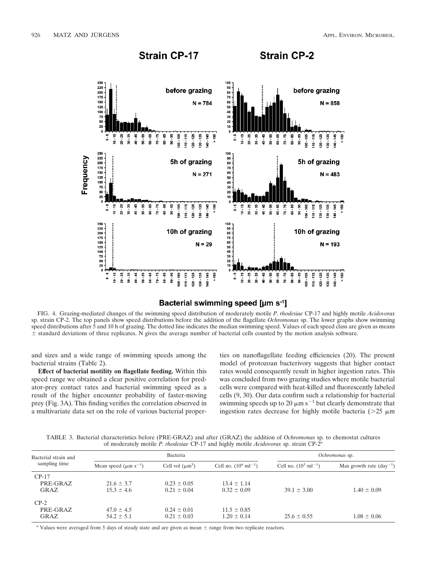

## Bacterial swimming speed [µm s<sup>-1</sup>]

FIG. 4. Grazing-mediated changes of the swimming speed distribution of moderately motile *P*. *rhodesiae* CP-17 and highly motile *Acidovorax* sp. strain CP-2. The top panels show speed distributions before the addition of the flagellate *Ochromonas* sp. The lower graphs show swimming speed distributions after 5 and 10 h of grazing. The dotted line indicates the median swimming speed. Values of each speed class are given as means standard deviations of three replicates. N gives the average number of bacterial cells counted by the motion analysis software.

and sizes and a wide range of swimming speeds among the bacterial strains (Table 2).

**Effect of bacterial motility on flagellate feeding.** Within this speed range we obtained a clear positive correlation for predator-prey contact rates and bacterial swimming speed as a result of the higher encounter probability of faster-moving prey (Fig. 3A). This finding verifies the correlation observed in a multivariate data set on the role of various bacterial properties on nanoflagellate feeding efficiencies (20). The present model of protozoan bacterivory suggests that higher contact rates would consequently result in higher ingestion rates. This was concluded from two grazing studies where motile bacterial cells were compared with heat-killed and fluorescently labeled cells (9, 30). Our data confirm such a relationship for bacterial swimming speeds up to 20  $\mu$ m s<sup>-1</sup> but clearly demonstrate that ingestion rates decrease for highly motile bacteria ( $>25 \mu m$ )

TABLE 3. Bacterial characteristics before (PRE-GRAZ) and after (GRAZ) the addition of *Ochromonas* sp. to chemostat cultures of moderately motile *P. rhodesiae* CP-17 and highly motile *Acidovorax* sp. strain CP-2*<sup>a</sup>*

| Bacterial strain and        | Bacteria                               |                                    |                                    | Ochromonas sp.                    |                                     |  |
|-----------------------------|----------------------------------------|------------------------------------|------------------------------------|-----------------------------------|-------------------------------------|--|
| sampling time               | Mean speed ( $\mu$ m s <sup>-1</sup> ) | Cell vol $(\mu m^3)$               | Cell no. $(10^6 \text{ ml}^{-1})$  | Cell no. $(10^3 \text{ ml}^{-1})$ | Max growth rate $(\text{day}^{-1})$ |  |
| $CP-17$<br>PRE-GRAZ<br>GRAZ | $21.6 \pm 3.7$<br>$15.3 \pm 4.6$       | $0.23 \pm 0.05$<br>$0.21 \pm 0.04$ | $13.4 \pm 1.14$<br>$0.32 \pm 0.09$ | $39.1 \pm 3.00$                   | $1.40 \pm 0.09$                     |  |
| $CP-2$<br>PRE-GRAZ<br>GRAZ  | $47.0 \pm 4.5$<br>$54.2 \pm 5.1$       | $0.24 \pm 0.01$<br>$0.21 \pm 0.03$ | $11.5 \pm 0.85$<br>$1.20 \pm 0.14$ | $25.6 \pm 0.55$                   | $1.08 \pm 0.06$                     |  |

*a* Values were averaged from 5 days of steady state and are given as mean  $\pm$  range from two replicate reactors.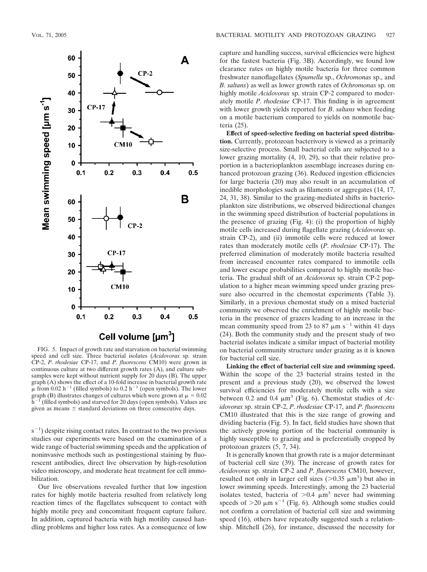

FIG. 5. Impact of growth rate and starvation on bacterial swimming speed and cell size. Three bacterial isolates (*Acidovorax* sp. strain CP-2, *P*. *rhodesiae* CP-17, and *P*. *fluorescens* CM10) were grown in continuous culture at two different growth rates (A), and culture subsamples were kept without nutrient supply for 20 days (B). The upper graph (A) shows the effect of a 10-fold increase in bacterial growth rate  $\mu$  from 0.02 h<sup>-1</sup> (filled symbols) to 0.2 h<sup>-1</sup> (open symbols). The lower graph (B) illustrates changes of cultures which were grown at  $\mu = 0.02$  $h^{-1}$  (filled symbols) and starved for 20 days (open symbols). Values are given as means  $\pm$  standard deviations on three consecutive days.

 $(s^{-1})$  despite rising contact rates. In contrast to the two previous studies our experiments were based on the examination of a wide range of bacterial swimming speeds and the application of noninvasive methods such as postingestional staining by fluorescent antibodies, direct live observation by high-resolution video microscopy, and moderate heat treatment for cell immobilization.

Our live observations revealed further that low ingestion rates for highly motile bacteria resulted from relatively long reaction times of the flagellates subsequent to contact with highly motile prey and concomitant frequent capture failure. In addition, captured bacteria with high motility caused handling problems and higher loss rates. As a consequence of low

capture and handling success, survival efficiencies were highest for the fastest bacteria (Fig. 3B). Accordingly, we found low clearance rates on highly motile bacteria for three common freshwater nanoflagellates (*Spumella* sp., *Ochromonas* sp., and *B*. *saltans*) as well as lower growth rates of *Ochromonas* sp. on highly motile *Acidovorax* sp. strain CP-2 compared to moderately motile *P*. *rhodesiae* CP-17. This finding is in agreement with lower growth yields reported for *B*. *saltans* when feeding on a motile bacterium compared to yields on nonmotile bacteria (25).

**Effect of speed-selective feeding on bacterial speed distribution.** Currently, protozoan bacterivory is viewed as a primarily size-selective process. Small bacterial cells are subjected to a lower grazing mortality (4, 10, 29), so that their relative proportion in a bacterioplankton assemblage increases during enhanced protozoan grazing (36). Reduced ingestion efficiencies for large bacteria (20) may also result in an accumulation of inedible morphologies such as filaments or aggregates (14, 17, 24, 31, 38). Similar to the grazing-mediated shifts in bacterioplankton size distributions, we observed bidirectional changes in the swimming speed distribution of bacterial populations in the presence of grazing (Fig. 4): (i) the proportion of highly motile cells increased during flagellate grazing (*Acidovorax* sp. strain CP-2), and (ii) immotile cells were reduced at lower rates than moderately motile cells (*P*. *rhodesiae* CP-17). The preferred elimination of moderately motile bacteria resulted from increased encounter rates compared to immotile cells and lower escape probabilities compared to highly motile bacteria. The gradual shift of an *Acidovorax* sp. strain CP-2 population to a higher mean swimming speed under grazing pressure also occurred in the chemostat experiments (Table 3). Similarly, in a previous chemostat study on a mixed bacterial community we observed the enrichment of highly motile bacteria in the presence of grazers leading to an increase in the mean community speed from 23 to 87  $\mu$ m s<sup>-1</sup> within 41 days (24). Both the community study and the present study of two bacterial isolates indicate a similar impact of bacterial motility on bacterial community structure under grazing as it is known for bacterial cell size.

**Linking the effect of bacterial cell size and swimming speed.** Within the scope of the 23 bacterial strains tested in the present and a previous study (20), we observed the lowest survival efficiencies for moderately motile cells with a size between 0.2 and 0.4  $\mu$ m<sup>3</sup> (Fig. 6). Chemostat studies of *Acidovorax* sp. strain CP-2, *P*. *rhodesiae* CP-17, and *P*. *fluorescens* CM10 illustrated that this is the size range of growing and dividing bacteria (Fig. 5). In fact, field studies have shown that the actively growing portion of the bacterial community is highly susceptible to grazing and is preferentially cropped by protozoan grazers (5, 7, 34).

It is generally known that growth rate is a major determinant of bacterial cell size (39). The increase of growth rates for *Acidovorax* sp. strain CP-2 and *P*. *fluorescens* CM10, however, resulted not only in larger cell sizes ( $> 0.35 \mu m^3$ ) but also in lower swimming speeds. Interestingly, among the 23 bacterial isolates tested, bacteria of  $> 0.4 \mu m^3$  never had swimming speeds of  $>20 \mu m s^{-1}$  (Fig. 6). Although some studies could not confirm a correlation of bacterial cell size and swimming speed (16), others have repeatedly suggested such a relationship. Mitchell (26), for instance, discussed the necessity for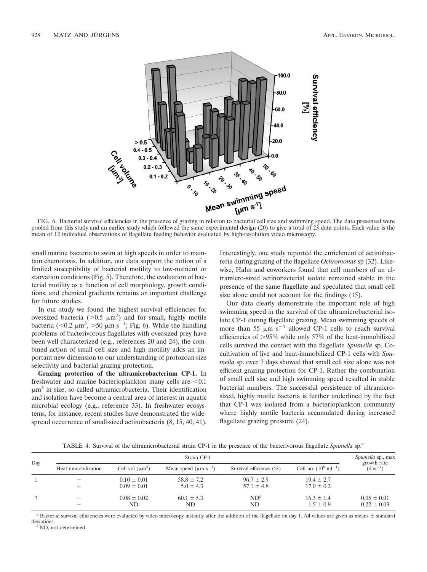

FIG. 6. Bacterial survival efficiencies in the presence of grazing in relation to bacterial cell size and swimming speed. The data presented were pooled from this study and an earlier study which followed the same experimental design (20) to give a total of 23 data points. Each value is the mean of 12 individual observations of flagellate feeding behavior evaluated by high-resolution video microscopy.

small marine bacteria to swim at high speeds in order to maintain chemotaxis. In addition, our data support the notion of a limited susceptibility of bacterial motility to low-nutrient or starvation conditions (Fig. 5). Therefore, the evaluation of bacterial motility as a function of cell morphology, growth conditions, and chemical gradients remains an important challenge for future studies.

In our study we found the highest survival efficiencies for oversized bacteria ( $> 0.5 \mu m^3$ ) and for small, highly motile bacteria (<0.2  $\mu$ m<sup>3</sup>, >50  $\mu$ m s<sup>-1</sup>; Fig. 6). While the handling problems of bacterivorous flagellates with oversized prey have been well characterized (e.g., references 20 and 24), the combined action of small cell size and high motility adds an important new dimension to our understanding of protozoan size selectivity and bacterial grazing protection.

**Grazing protection of the ultramicrobacterium CP-1.** In freshwater and marine bacterioplankton many cells are  $\leq 0.1$  $\mu$ m<sup>3</sup> in size, so-called ultramicrobacteria. Their identification and isolation have become a central area of interest in aquatic microbial ecology (e.g., reference 33). In freshwater ecosystems, for instance, recent studies have demonstrated the widespread occurrence of small-sized actinobacteria (8, 15, 40, 41).

Interestingly, one study reported the enrichment of actinobacteria during grazing of the flagellate *Ochromonas* sp (32). Likewise, Hahn and coworkers found that cell numbers of an ultramicro-sized actinobacterial isolate remained stable in the presence of the same flagellate and speculated that small cell size alone could not account for the findings (15).

Our data clearly demonstrate the important role of high swimming speed in the survival of the ultramicrobacterial isolate CP-1 during flagellate grazing. Mean swimming speeds of more than 55  $\mu$ m s<sup>-1</sup> allowed CP-1 cells to reach survival efficiencies of 95% while only 57% of the heat-immobilized cells survived the contact with the flagellate *Spumella* sp. Cocultivation of live and heat-immobilized CP-1 cells with *Spumella* sp. over 7 days showed that small cell size alone was not efficient grazing protection for CP-1. Rather the combination of small cell size and high swimming speed resulted in stable bacterial numbers. The successful persistence of ultramicrosized, highly motile bacteria is further underlined by the fact that CP-1 was isolated from a bacterioplankton community where highly motile bacteria accumulated during increased flagellate grazing pressure (24).

TABLE 4. Survival of the ultramicrobacterial strain CP-1 in the presence of the bacterivorous flagellate *Spumella* sp.*<sup>a</sup>*

| Day | Strain CP-1         |                                    |                                        |                                  |                                   |                                    |
|-----|---------------------|------------------------------------|----------------------------------------|----------------------------------|-----------------------------------|------------------------------------|
|     | Heat immobilization | Cell vol $(\mu m^3)$               | Mean speed ( $\mu$ m s <sup>-1</sup> ) | Survival efficiency $(\% )$      | Cell no. $(10^6 \text{ ml}^{-1})$ | growth rate<br>$(\text{day}^{-1})$ |
|     |                     | $0.10 \pm 0.01$<br>$0.09 \pm 0.01$ | $58.8 \pm 7.2$<br>$5.0 \pm 4.3$        | $96.7 \pm 2.9$<br>$57.1 \pm 4.8$ | $19.4 \pm 2.7$<br>$17.0 \pm 0.2$  |                                    |
|     |                     | $0.08 \pm 0.02$<br>ND              | $60.1 \pm 5.3$<br>ND                   | $ND^b$<br>ND                     | $16.3 \pm 1.4$<br>$1.5 \pm 0.9$   | $0.05 \pm 0.01$<br>$0.22 \pm 0.03$ |

a Bacterial survival efficiencies were evaluated by video microscopy instantly after the addition of the flagellate on day 1. All values are given as means  $\pm$  standard deviations. *<sup>b</sup>* ND, not determined.